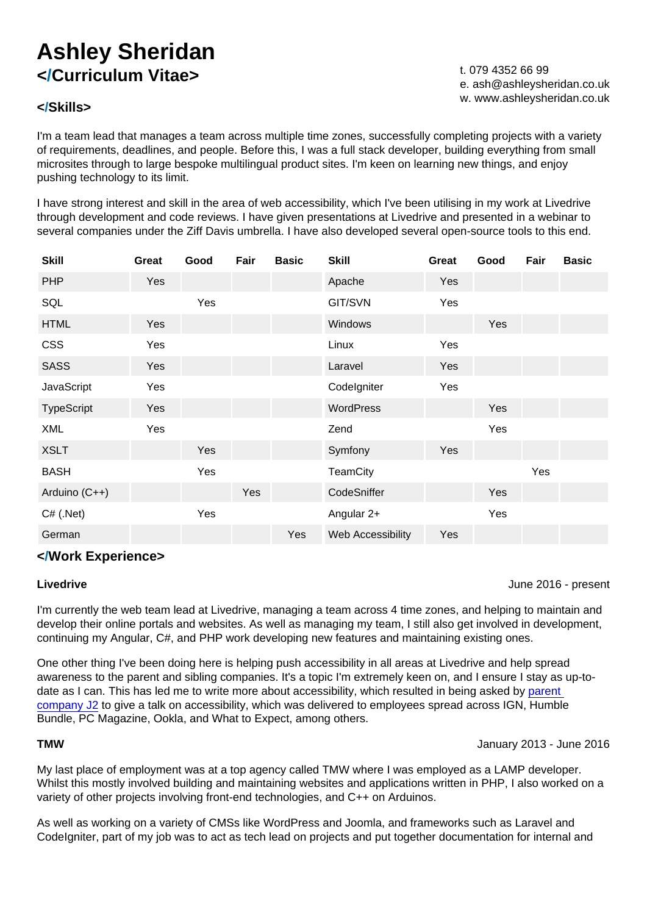### </Skills>

t. 079 4352 66 99 e. [ash@ashleysheridan.co.uk](mailto:ash@ashleysheridan.co.uk) w. [www.ashleysheridan.co.uk](http://www.ashleysheridan.co.uk)

I'm a team lead that manages a team across multiple time zones, successfully completing projects with a variety of requirements, deadlines, and people. Before this, I was a full stack developer, building everything from small microsites through to large bespoke multilingual product sites. I'm keen on learning new things, and enjoy pushing technology to its limit.

I have strong interest and skill in the area of web accessibility, which I've been utilising in my work at Livedrive through development and code reviews. I have given presentations at Livedrive and presented in a webinar to several companies under the Ziff Davis umbrella. I have also developed several open-source tools to this end.

| Skill         | Great      | Good | Fair | <b>Basic</b> | Skill             | Great | Good | Fair | <b>Basic</b> |
|---------------|------------|------|------|--------------|-------------------|-------|------|------|--------------|
| <b>PHP</b>    | Yes        |      |      |              | Apache            | Yes   |      |      |              |
| SQL           |            | Yes  |      |              | GIT/SVN           | Yes   |      |      |              |
| <b>HTML</b>   | <b>Yes</b> |      |      |              | Windows           |       | Yes  |      |              |
| <b>CSS</b>    | Yes        |      |      |              | Linux             | Yes   |      |      |              |
| <b>SASS</b>   | Yes        |      |      |              | Laravel           | Yes   |      |      |              |
| JavaScript    | Yes        |      |      |              | Codelgniter       | Yes   |      |      |              |
| TypeScript    | Yes        |      |      |              | <b>WordPress</b>  |       | Yes  |      |              |
| <b>XML</b>    | Yes        |      |      |              | Zend              |       | Yes  |      |              |
| <b>XSLT</b>   |            | Yes  |      |              | Symfony           | Yes   |      |      |              |
| <b>BASH</b>   |            | Yes  |      |              | <b>TeamCity</b>   |       |      | Yes  |              |
| Arduino (C++) |            |      | Yes  |              | CodeSniffer       |       | Yes  |      |              |
| $C#$ (.Net)   |            | Yes  |      |              | Angular 2+        |       | Yes  |      |              |
| German        |            |      |      | Yes          | Web Accessibility | Yes   |      |      |              |

### </Work Experience>

#### Livedrive

June 2016 - present

I'm currently the web team lead at Livedrive, managing a team across 4 time zones, and helping to maintain and develop their online portals and websites. As well as managing my team, I still also get involved in development, continuing my Angular, C#, and PHP work developing new features and maintaining existing ones.

One other thing I've been doing here is helping push accessibility in all areas at Livedrive and help spread awareness to the parent and sibling companies. It's a topic I'm extremely keen on, and I ensure I stay as up-todate as I can. This has led me to write more about accessibility, which resulted in being asked by parent [company J2](https://www.j2global.com) to give a talk on accessibility, which was delivered to employees spread across IGN, Humble Bundle, PC Magazine, Ookla, and What to Expect, among others.

#### TMW

January 2013 - June 2016

My last place of employment was at a top agency called TMW where I was employed as a LAMP developer. Whilst this mostly involved building and maintaining websites and applications written in PHP, I also worked on a variety of other projects involving front-end technologies, and C++ on Arduinos.

As well as working on a variety of CMSs like WordPress and Joomla, and frameworks such as Laravel and CodeIgniter, part of my job was to act as tech lead on projects and put together documentation for internal and